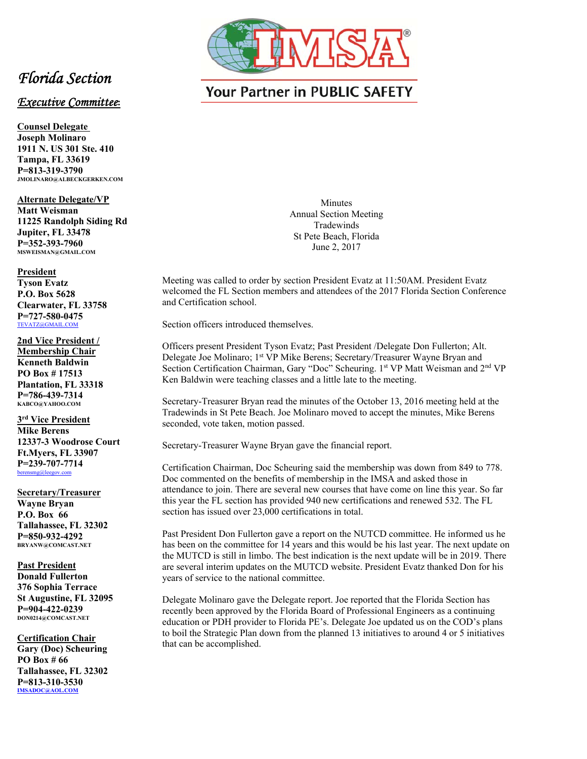

## *Florida Section*

## *Executive Committee***:**

**Counsel Delegate Joseph Molinaro 1911 N. US 301 Ste. 410 Tampa, FL 33619 P=813-319-3790 JMOLINARO@ALBECKGERKEN.COM** 

**Alternate Delegate/VP** 

**Matt Weisman 11225 Randolph Siding Rd Jupiter, FL 33478 P=352-393-7960 MSWEISMAN@GMAIL.COM** 

## **President**

**Tyson Evatz P.O. Box 5628 Clearwater, FL 33758 P=727-580-0475**  TEVATZ@GMAIL.COM

**2nd Vice President / Membership Chair Kenneth Baldwin PO Box # 17513 Plantation, FL 33318 P=786-439-7314 KABCO@YAHOO.COM** 

**3rd Vice President Mike Berens 12337-3 Woodrose Court Ft.Myers, FL 33907 P=239-707-7714**  berensmg@leegov.com

**Secretary/Treasurer Wayne Bryan P.O. Box 66 Tallahassee, FL 32302 P=850-932-4292 BRYANW@COMCAST.NET** 

**Past President Donald Fullerton 376 Sophia Terrace St Augustine, FL 32095 P=904-422-0239 DON0214@COMCAST.NET** 

**Certification Chair Gary (Doc) Scheuring PO Box # 66 Tallahassee, FL 32302 P=813-310-3530 IMSADOC@AOL.COM**

## **Your Partner in PUBLIC SAFETY**

**Minutes** Annual Section Meeting Tradewinds St Pete Beach, Florida June 2, 2017

Meeting was called to order by section President Evatz at 11:50AM. President Evatz welcomed the FL Section members and attendees of the 2017 Florida Section Conference and Certification school.

Section officers introduced themselves.

Officers present President Tyson Evatz; Past President /Delegate Don Fullerton; Alt. Delegate Joe Molinaro; 1<sup>st</sup> VP Mike Berens; Secretary/Treasurer Wayne Bryan and Section Certification Chairman, Gary "Doc" Scheuring. 1st VP Matt Weisman and 2<sup>nd</sup> VP Ken Baldwin were teaching classes and a little late to the meeting.

Secretary-Treasurer Bryan read the minutes of the October 13, 2016 meeting held at the Tradewinds in St Pete Beach. Joe Molinaro moved to accept the minutes, Mike Berens seconded, vote taken, motion passed.

Secretary-Treasurer Wayne Bryan gave the financial report.

Certification Chairman, Doc Scheuring said the membership was down from 849 to 778. Doc commented on the benefits of membership in the IMSA and asked those in attendance to join. There are several new courses that have come on line this year. So far this year the FL section has provided 940 new certifications and renewed 532. The FL section has issued over 23,000 certifications in total.

Past President Don Fullerton gave a report on the NUTCD committee. He informed us he has been on the committee for 14 years and this would be his last year. The next update on the MUTCD is still in limbo. The best indication is the next update will be in 2019. There are several interim updates on the MUTCD website. President Evatz thanked Don for his years of service to the national committee.

Delegate Molinaro gave the Delegate report. Joe reported that the Florida Section has recently been approved by the Florida Board of Professional Engineers as a continuing education or PDH provider to Florida PE's. Delegate Joe updated us on the COD's plans to boil the Strategic Plan down from the planned 13 initiatives to around 4 or 5 initiatives that can be accomplished.